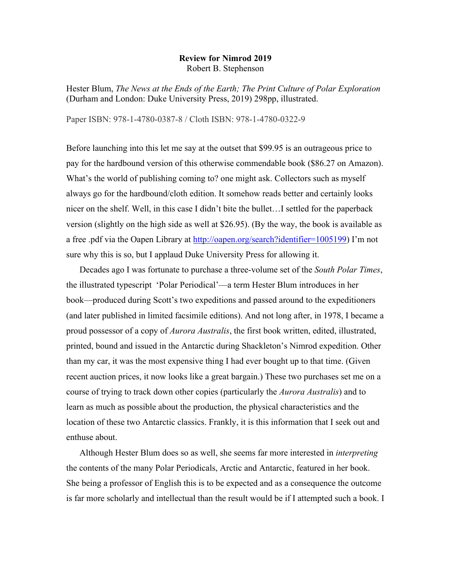## **Review for Nimrod 2019** Robert B. Stephenson

Hester Blum, *The News at the Ends of the Earth; The Print Culture of Polar Exploration* (Durham and London: Duke University Press, 2019) 298pp, illustrated.

Paper ISBN: 978-1-4780-0387-8 / Cloth ISBN: 978-1-4780-0322-9

Before launching into this let me say at the outset that \$99.95 is an outrageous price to pay for the hardbound version of this otherwise commendable book (\$86.27 on Amazon). What's the world of publishing coming to? one might ask. Collectors such as myself always go for the hardbound/cloth edition. It somehow reads better and certainly looks nicer on the shelf. Well, in this case I didn't bite the bullet…I settled for the paperback version (slightly on the high side as well at \$26.95). (By the way, the book is available as a free .pdf via the Oapen Library at http://oapen.org/search?identifier=1005199) I'm not sure why this is so, but I applaud Duke University Press for allowing it.

Decades ago I was fortunate to purchase a three-volume set of the *South Polar Times*, the illustrated typescript 'Polar Periodical'—a term Hester Blum introduces in her book—produced during Scott's two expeditions and passed around to the expeditioners (and later published in limited facsimile editions). And not long after, in 1978, I became a proud possessor of a copy of *Aurora Australis*, the first book written, edited, illustrated, printed, bound and issued in the Antarctic during Shackleton's Nimrod expedition. Other than my car, it was the most expensive thing I had ever bought up to that time. (Given recent auction prices, it now looks like a great bargain.) These two purchases set me on a course of trying to track down other copies (particularly the *Aurora Australis*) and to learn as much as possible about the production, the physical characteristics and the location of these two Antarctic classics. Frankly, it is this information that I seek out and enthuse about.

Although Hester Blum does so as well, she seems far more interested in *interpreting* the contents of the many Polar Periodicals, Arctic and Antarctic, featured in her book. She being a professor of English this is to be expected and as a consequence the outcome is far more scholarly and intellectual than the result would be if I attempted such a book. I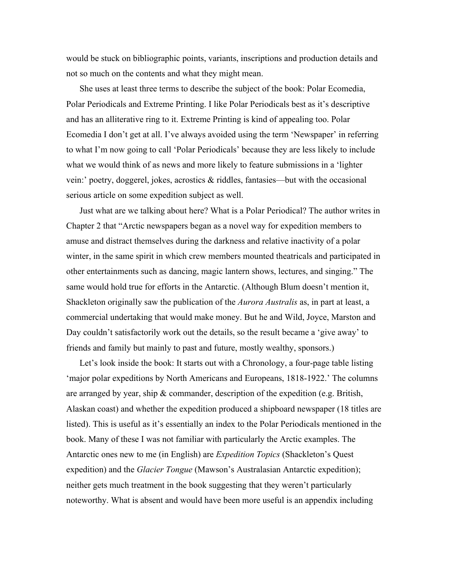would be stuck on bibliographic points, variants, inscriptions and production details and not so much on the contents and what they might mean.

She uses at least three terms to describe the subject of the book: Polar Ecomedia, Polar Periodicals and Extreme Printing. I like Polar Periodicals best as it's descriptive and has an alliterative ring to it. Extreme Printing is kind of appealing too. Polar Ecomedia I don't get at all. I've always avoided using the term 'Newspaper' in referring to what I'm now going to call 'Polar Periodicals' because they are less likely to include what we would think of as news and more likely to feature submissions in a 'lighter vein:' poetry, doggerel, jokes, acrostics  $\&$  riddles, fantasies—but with the occasional serious article on some expedition subject as well.

Just what are we talking about here? What is a Polar Periodical? The author writes in Chapter 2 that "Arctic newspapers began as a novel way for expedition members to amuse and distract themselves during the darkness and relative inactivity of a polar winter, in the same spirit in which crew members mounted theatricals and participated in other entertainments such as dancing, magic lantern shows, lectures, and singing." The same would hold true for efforts in the Antarctic. (Although Blum doesn't mention it, Shackleton originally saw the publication of the *Aurora Australis* as, in part at least, a commercial undertaking that would make money. But he and Wild, Joyce, Marston and Day couldn't satisfactorily work out the details, so the result became a 'give away' to friends and family but mainly to past and future, mostly wealthy, sponsors.)

Let's look inside the book: It starts out with a Chronology, a four-page table listing 'major polar expeditions by North Americans and Europeans, 1818-1922.' The columns are arranged by year, ship & commander, description of the expedition (e.g. British, Alaskan coast) and whether the expedition produced a shipboard newspaper (18 titles are listed). This is useful as it's essentially an index to the Polar Periodicals mentioned in the book. Many of these I was not familiar with particularly the Arctic examples. The Antarctic ones new to me (in English) are *Expedition Topics* (Shackleton's Quest expedition) and the *Glacier Tongue* (Mawson's Australasian Antarctic expedition); neither gets much treatment in the book suggesting that they weren't particularly noteworthy. What is absent and would have been more useful is an appendix including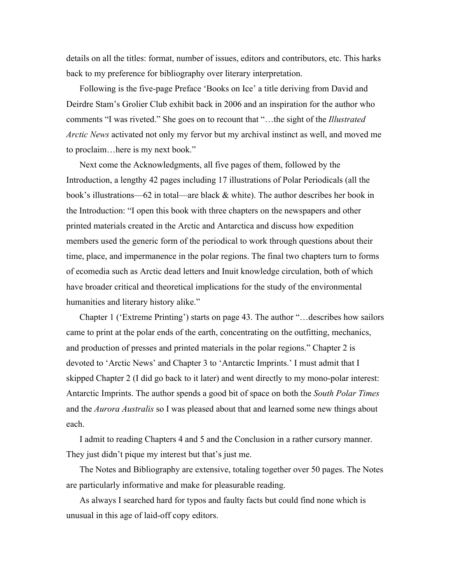details on all the titles: format, number of issues, editors and contributors, etc. This harks back to my preference for bibliography over literary interpretation.

Following is the five-page Preface 'Books on Ice' a title deriving from David and Deirdre Stam's Grolier Club exhibit back in 2006 and an inspiration for the author who comments "I was riveted." She goes on to recount that "…the sight of the *Illustrated Arctic News* activated not only my fervor but my archival instinct as well, and moved me to proclaim…here is my next book."

Next come the Acknowledgments, all five pages of them, followed by the Introduction, a lengthy 42 pages including 17 illustrations of Polar Periodicals (all the book's illustrations—62 in total—are black & white). The author describes her book in the Introduction: "I open this book with three chapters on the newspapers and other printed materials created in the Arctic and Antarctica and discuss how expedition members used the generic form of the periodical to work through questions about their time, place, and impermanence in the polar regions. The final two chapters turn to forms of ecomedia such as Arctic dead letters and Inuit knowledge circulation, both of which have broader critical and theoretical implications for the study of the environmental humanities and literary history alike."

Chapter 1 ('Extreme Printing') starts on page 43. The author "…describes how sailors came to print at the polar ends of the earth, concentrating on the outfitting, mechanics, and production of presses and printed materials in the polar regions." Chapter 2 is devoted to 'Arctic News' and Chapter 3 to 'Antarctic Imprints.' I must admit that I skipped Chapter 2 (I did go back to it later) and went directly to my mono-polar interest: Antarctic Imprints. The author spends a good bit of space on both the *South Polar Times* and the *Aurora Australis* so I was pleased about that and learned some new things about each.

I admit to reading Chapters 4 and 5 and the Conclusion in a rather cursory manner. They just didn't pique my interest but that's just me.

The Notes and Bibliography are extensive, totaling together over 50 pages. The Notes are particularly informative and make for pleasurable reading.

As always I searched hard for typos and faulty facts but could find none which is unusual in this age of laid-off copy editors.